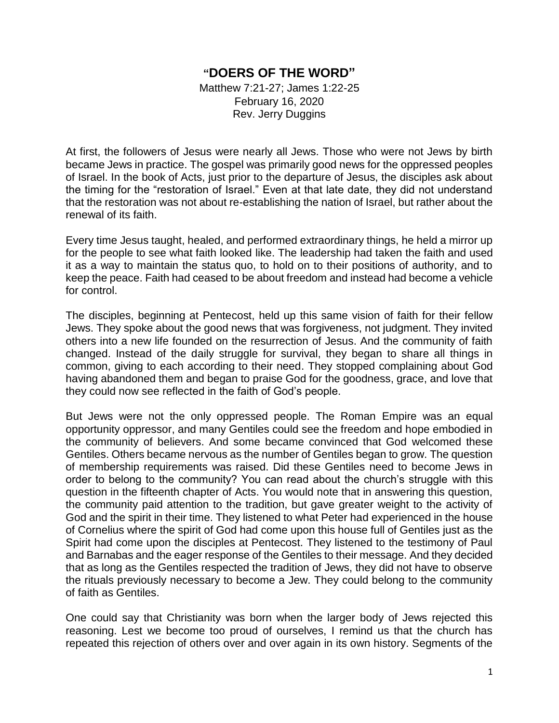## **"DOERS OF THE WORD"**

Matthew 7:21-27; James 1:22-25 February 16, 2020 Rev. Jerry Duggins

At first, the followers of Jesus were nearly all Jews. Those who were not Jews by birth became Jews in practice. The gospel was primarily good news for the oppressed peoples of Israel. In the book of Acts, just prior to the departure of Jesus, the disciples ask about the timing for the "restoration of Israel." Even at that late date, they did not understand that the restoration was not about re-establishing the nation of Israel, but rather about the renewal of its faith.

Every time Jesus taught, healed, and performed extraordinary things, he held a mirror up for the people to see what faith looked like. The leadership had taken the faith and used it as a way to maintain the status quo, to hold on to their positions of authority, and to keep the peace. Faith had ceased to be about freedom and instead had become a vehicle for control.

The disciples, beginning at Pentecost, held up this same vision of faith for their fellow Jews. They spoke about the good news that was forgiveness, not judgment. They invited others into a new life founded on the resurrection of Jesus. And the community of faith changed. Instead of the daily struggle for survival, they began to share all things in common, giving to each according to their need. They stopped complaining about God having abandoned them and began to praise God for the goodness, grace, and love that they could now see reflected in the faith of God's people.

But Jews were not the only oppressed people. The Roman Empire was an equal opportunity oppressor, and many Gentiles could see the freedom and hope embodied in the community of believers. And some became convinced that God welcomed these Gentiles. Others became nervous as the number of Gentiles began to grow. The question of membership requirements was raised. Did these Gentiles need to become Jews in order to belong to the community? You can read about the church's struggle with this question in the fifteenth chapter of Acts. You would note that in answering this question, the community paid attention to the tradition, but gave greater weight to the activity of God and the spirit in their time. They listened to what Peter had experienced in the house of Cornelius where the spirit of God had come upon this house full of Gentiles just as the Spirit had come upon the disciples at Pentecost. They listened to the testimony of Paul and Barnabas and the eager response of the Gentiles to their message. And they decided that as long as the Gentiles respected the tradition of Jews, they did not have to observe the rituals previously necessary to become a Jew. They could belong to the community of faith as Gentiles.

One could say that Christianity was born when the larger body of Jews rejected this reasoning. Lest we become too proud of ourselves, I remind us that the church has repeated this rejection of others over and over again in its own history. Segments of the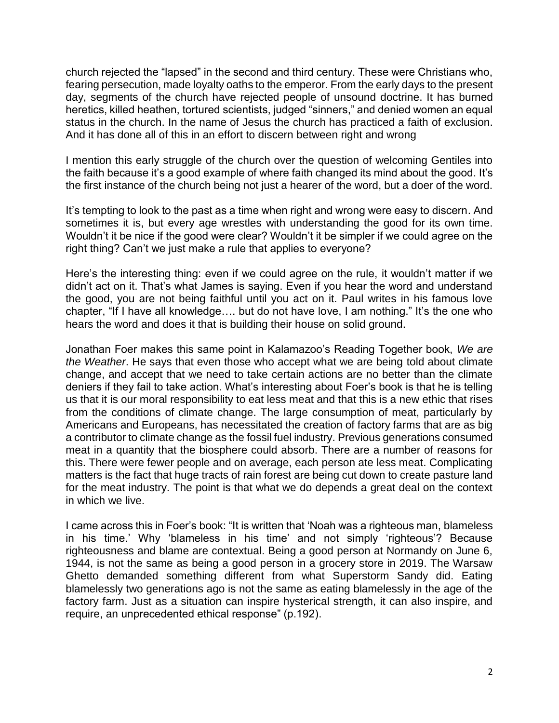church rejected the "lapsed" in the second and third century. These were Christians who, fearing persecution, made loyalty oaths to the emperor. From the early days to the present day, segments of the church have rejected people of unsound doctrine. It has burned heretics, killed heathen, tortured scientists, judged "sinners," and denied women an equal status in the church. In the name of Jesus the church has practiced a faith of exclusion. And it has done all of this in an effort to discern between right and wrong

I mention this early struggle of the church over the question of welcoming Gentiles into the faith because it's a good example of where faith changed its mind about the good. It's the first instance of the church being not just a hearer of the word, but a doer of the word.

It's tempting to look to the past as a time when right and wrong were easy to discern. And sometimes it is, but every age wrestles with understanding the good for its own time. Wouldn't it be nice if the good were clear? Wouldn't it be simpler if we could agree on the right thing? Can't we just make a rule that applies to everyone?

Here's the interesting thing: even if we could agree on the rule, it wouldn't matter if we didn't act on it. That's what James is saying. Even if you hear the word and understand the good, you are not being faithful until you act on it. Paul writes in his famous love chapter, "If I have all knowledge…. but do not have love, I am nothing." It's the one who hears the word and does it that is building their house on solid ground.

Jonathan Foer makes this same point in Kalamazoo's Reading Together book, *We are the Weather*. He says that even those who accept what we are being told about climate change, and accept that we need to take certain actions are no better than the climate deniers if they fail to take action. What's interesting about Foer's book is that he is telling us that it is our moral responsibility to eat less meat and that this is a new ethic that rises from the conditions of climate change. The large consumption of meat, particularly by Americans and Europeans, has necessitated the creation of factory farms that are as big a contributor to climate change as the fossil fuel industry. Previous generations consumed meat in a quantity that the biosphere could absorb. There are a number of reasons for this. There were fewer people and on average, each person ate less meat. Complicating matters is the fact that huge tracts of rain forest are being cut down to create pasture land for the meat industry. The point is that what we do depends a great deal on the context in which we live.

I came across this in Foer's book: "It is written that 'Noah was a righteous man, blameless in his time.' Why 'blameless in his time' and not simply 'righteous'? Because righteousness and blame are contextual. Being a good person at Normandy on June 6, 1944, is not the same as being a good person in a grocery store in 2019. The Warsaw Ghetto demanded something different from what Superstorm Sandy did. Eating blamelessly two generations ago is not the same as eating blamelessly in the age of the factory farm. Just as a situation can inspire hysterical strength, it can also inspire, and require, an unprecedented ethical response" (p.192).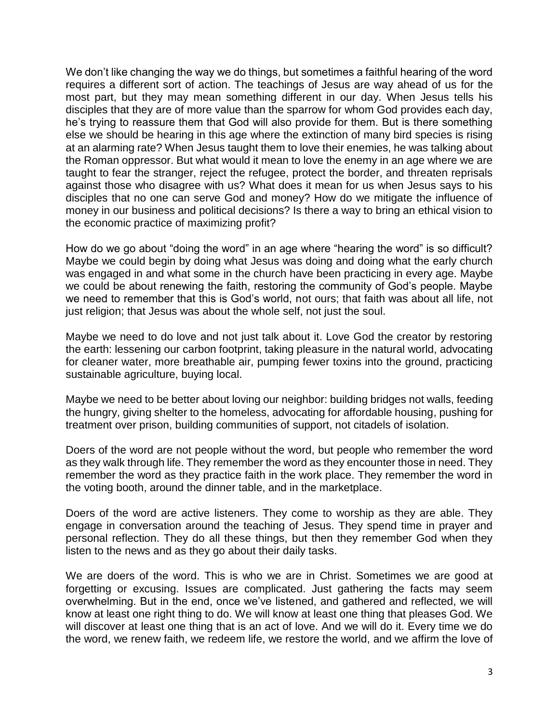We don't like changing the way we do things, but sometimes a faithful hearing of the word requires a different sort of action. The teachings of Jesus are way ahead of us for the most part, but they may mean something different in our day. When Jesus tells his disciples that they are of more value than the sparrow for whom God provides each day, he's trying to reassure them that God will also provide for them. But is there something else we should be hearing in this age where the extinction of many bird species is rising at an alarming rate? When Jesus taught them to love their enemies, he was talking about the Roman oppressor. But what would it mean to love the enemy in an age where we are taught to fear the stranger, reject the refugee, protect the border, and threaten reprisals against those who disagree with us? What does it mean for us when Jesus says to his disciples that no one can serve God and money? How do we mitigate the influence of money in our business and political decisions? Is there a way to bring an ethical vision to the economic practice of maximizing profit?

How do we go about "doing the word" in an age where "hearing the word" is so difficult? Maybe we could begin by doing what Jesus was doing and doing what the early church was engaged in and what some in the church have been practicing in every age. Maybe we could be about renewing the faith, restoring the community of God's people. Maybe we need to remember that this is God's world, not ours; that faith was about all life, not just religion; that Jesus was about the whole self, not just the soul.

Maybe we need to do love and not just talk about it. Love God the creator by restoring the earth: lessening our carbon footprint, taking pleasure in the natural world, advocating for cleaner water, more breathable air, pumping fewer toxins into the ground, practicing sustainable agriculture, buying local.

Maybe we need to be better about loving our neighbor: building bridges not walls, feeding the hungry, giving shelter to the homeless, advocating for affordable housing, pushing for treatment over prison, building communities of support, not citadels of isolation.

Doers of the word are not people without the word, but people who remember the word as they walk through life. They remember the word as they encounter those in need. They remember the word as they practice faith in the work place. They remember the word in the voting booth, around the dinner table, and in the marketplace.

Doers of the word are active listeners. They come to worship as they are able. They engage in conversation around the teaching of Jesus. They spend time in prayer and personal reflection. They do all these things, but then they remember God when they listen to the news and as they go about their daily tasks.

We are doers of the word. This is who we are in Christ. Sometimes we are good at forgetting or excusing. Issues are complicated. Just gathering the facts may seem overwhelming. But in the end, once we've listened, and gathered and reflected, we will know at least one right thing to do. We will know at least one thing that pleases God. We will discover at least one thing that is an act of love. And we will do it. Every time we do the word, we renew faith, we redeem life, we restore the world, and we affirm the love of